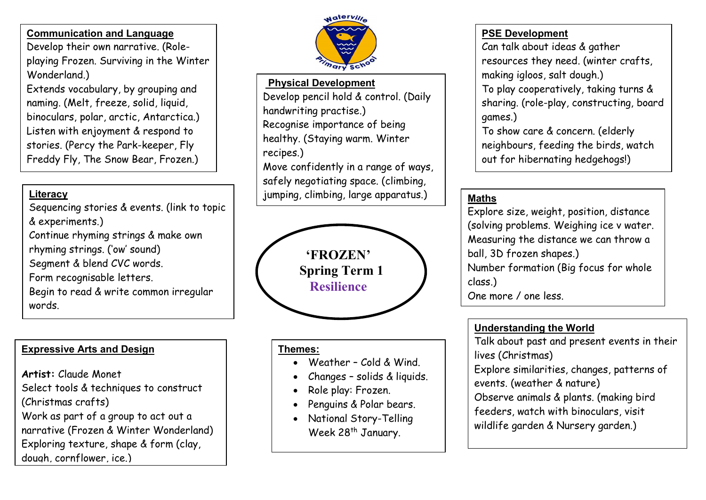### Communication and Language

Develop their own narrative. (Roleplaying Frozen. Surviving in the Winter Wonderland.)

Extends vocabulary, by grouping and naming. (Melt, freeze, solid, liquid, binoculars, polar, arctic, Antarctica.) Listen with enjoyment & respond to stories. (Percy the Park-keeper, Fly Freddy Fly, The Snow Bear, Frozen.)

#### ï Literacy

sequencing stortes<br>& experiments.) Sequencing stories & events. (link to topic Continue rhyming strings & make own rhyming strings. ('ow' sound) Segment & blend CVC words. Form recognisable letters. Begin to read & write common irregular words.

# Expressive Arts and Design

Artist: Claude Monet Select tools & techniques to construct (Christmas crafts) Work as part of a group to act out a narrative (Frozen & Winter Wonderland) Exploring texture, shape & form (clay, dough cornflower ice.)



## Physical Development

Develop pencil hold & control. (Daily handwriting practise.) Recognise importance of being healthy. (Staying warm. Winter recipes.) Move confidently in a range of ways, safely negotiating space. (climbing,

jumping, climbing, large apparatus.)



### Themes:

- Weather Cold & Wind.
- Changes solids & liquids.
- Role play: Frozen.
- Penguins & Polar bears.
- National Story-Telling Week 28<sup>th</sup> January.

# PSE Development

Can talk about ideas & gather resources they need. (winter crafts, making igloos, salt dough.) To play cooperatively, taking turns & sharing. (role-play, constructing, board games.)

To show care & concern. (elderly neighbours, feeding the birds, watch out for hibernating hedgehogs!)

# Maths

Explore size, weight, position, distance (solving problems. Weighing ice v water. Measuring the distance we can throw a ball, 3D frozen shapes.) Number formation (Big focus for whole class.) One more / one less.

# Understanding the World

Talk about past and present events in their lives (Christmas)

Explore similarities, changes, patterns of events. (weather & nature)

- 
- Observe animals & plants. (making bird
- feeders, watch with binoculars, visit
- wildlife garden & Nursery garden.)